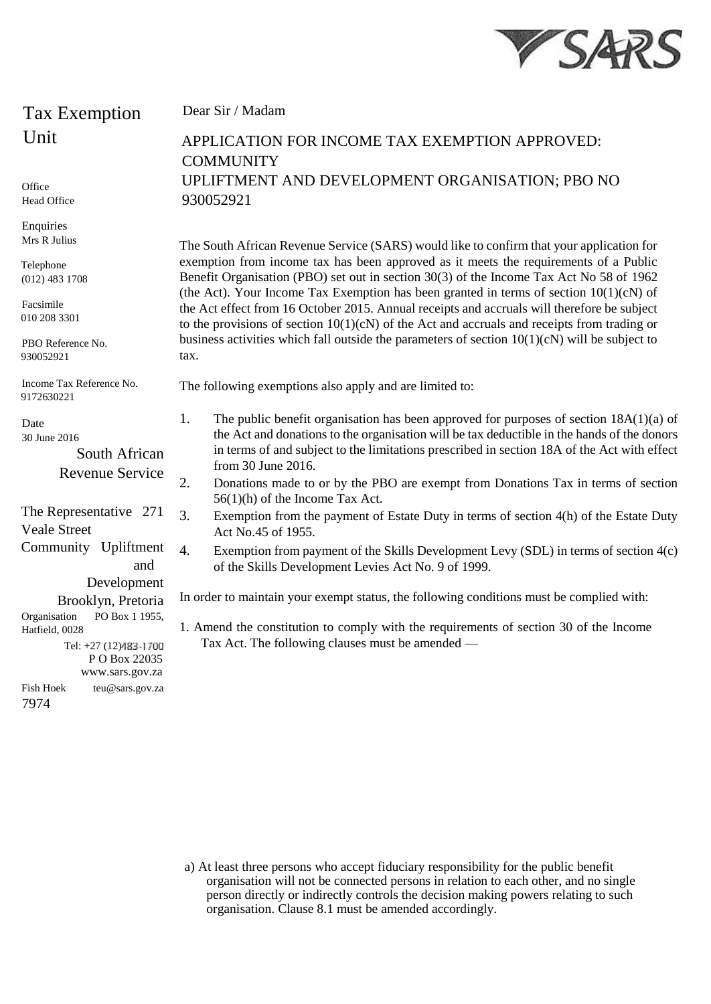

## Tax Exemption **Unit**

**Office** Head Office

**Enquiries** Mrs R Julius

Telephone (012) 483 1708

Facsimile 010 208 3301

PBO Reference No. 930052921

Income Tax Reference No. 9172630221

Date 30 June 2016

> South African Revenue Service

The Representative 271 Veale Street Community Upliftment and Development

Brooklyn, Pretoria Organisation PO Box 1 1955, Hatfield, 0028

Tel: +27 (12) P O Box 22035 www.sars.gov.za Fish Hoek teu@sars.gov.za 7974

Dear Sir / Madam

## APPLICATION FOR INCOME TAX EXEMPTION APPROVED: **COMMUNITY** UPLIFTMENT AND DEVELOPMENT ORGANISATION; PBO NO 930052921

The South African Revenue Service (SARS) would like to confirm that your application for exemption from income tax has been approved as it meets the requirements of a Public Benefit Organisation (PBO) set out in section 30(3) of the Income Tax Act No 58 of 1962 (the Act). Your Income Tax Exemption has been granted in terms of section  $10(1)(c)$  of the Act effect from 16 October 2015. Annual receipts and accruals will therefore be subject to the provisions of section  $10(1)(cN)$  of the Act and accruals and receipts from trading or business activities which fall outside the parameters of section  $10(1)(cN)$  will be subject to tax.

The following exemptions also apply and are limited to:

- 1. The public benefit organisation has been approved for purposes of section 18A(1)(a) of the Act and donations to the organisation will be tax deductible in the hands of the donors in terms of and subject to the limitations prescribed in section 18A of the Act with effect from 30 June 2016.
- 2. Donations made to or by the PBO are exempt from Donations Tax in terms of section 56(1)(h) of the Income Tax Act.
- 3. Exemption from the payment of Estate Duty in terms of section 4(h) of the Estate Duty Act No.45 of 1955.
- 4. Exemption from payment of the Skills Development Levy (SDL) in terms of section 4(c) of the Skills Development Levies Act No. 9 of 1999.

In order to maintain your exempt status, the following conditions must be complied with:

1. Amend the constitution to comply with the requirements of section 30 of the Income Tax Act. The following clauses must be amended —

a) At least three persons who accept fiduciary responsibility for the public benefit organisation will not be connected persons in relation to each other, and no single person directly or indirectly controls the decision making powers relating to such organisation. Clause 8.1 must be amended accordingly.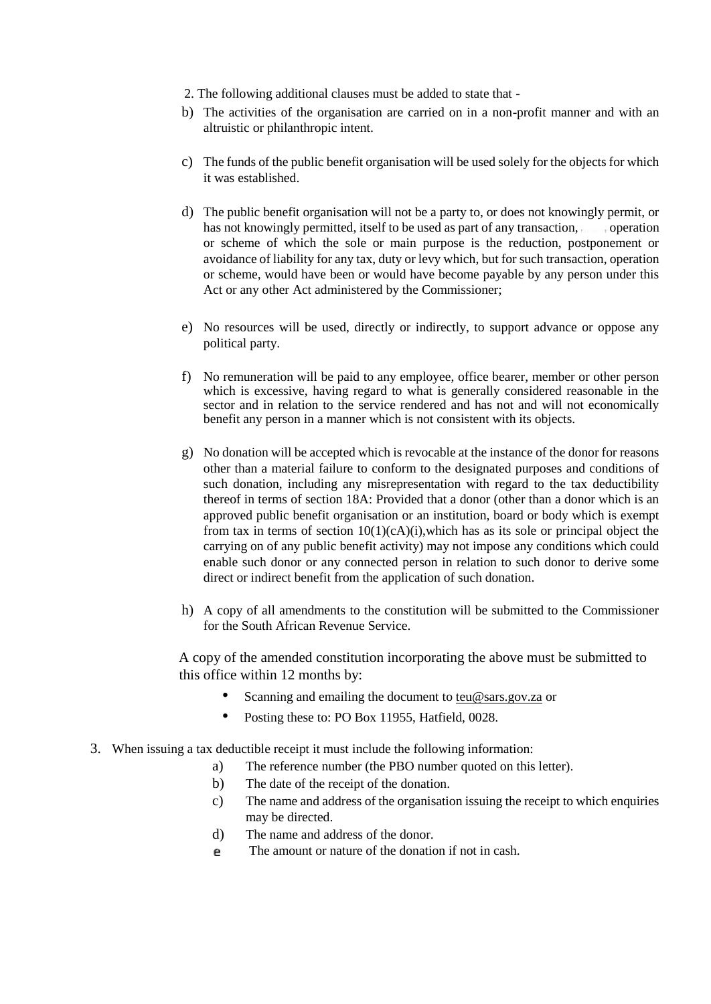- 2. The following additional clauses must be added to state that -
- b) The activities of the organisation are carried on in a non-profit manner and with an altruistic or philanthropic intent.
- c) The funds of the public benefit organisation will be used solely for the objects for which it was established.
- d) The public benefit organisation will not be a party to, or does not knowingly permit, or has not knowingly permitted, itself to be used as part of any transaction, operation or scheme of which the sole or main purpose is the reduction, postponement or avoidance of liability for any tax, duty or levy which, but for such transaction, operation or scheme, would have been or would have become payable by any person under this Act or any other Act administered by the Commissioner;
- e) No resources will be used, directly or indirectly, to support advance or oppose any political party.
- f) No remuneration will be paid to any employee, office bearer, member or other person which is excessive, having regard to what is generally considered reasonable in the sector and in relation to the service rendered and has not and will not economically benefit any person in a manner which is not consistent with its objects.
- g) No donation will be accepted which is revocable at the instance of the donor for reasons other than a material failure to conform to the designated purposes and conditions of such donation, including any misrepresentation with regard to the tax deductibility thereof in terms of section 18A: Provided that a donor (other than a donor which is an approved public benefit organisation or an institution, board or body which is exempt from tax in terms of section  $10(1)(cA)(i)$ , which has as its sole or principal object the carrying on of any public benefit activity) may not impose any conditions which could enable such donor or any connected person in relation to such donor to derive some direct or indirect benefit from the application of such donation.
- h) A copy of all amendments to the constitution will be submitted to the Commissioner for the South African Revenue Service.

A copy of the amended constitution incorporating the above must be submitted to this office within 12 months by:

- Scanning and emailing the document to teu@sars.gov.za or
- Posting these to: PO Box 11955, Hatfield, 0028.
- 3. When issuing a tax deductible receipt it must include the following information:
	- a) The reference number (the PBO number quoted on this letter).
	- b) The date of the receipt of the donation.
	- c) The name and address of the organisation issuing the receipt to which enquiries may be directed.
	- d) The name and address of the donor.
	- The amount or nature of the donation if not in cash.e.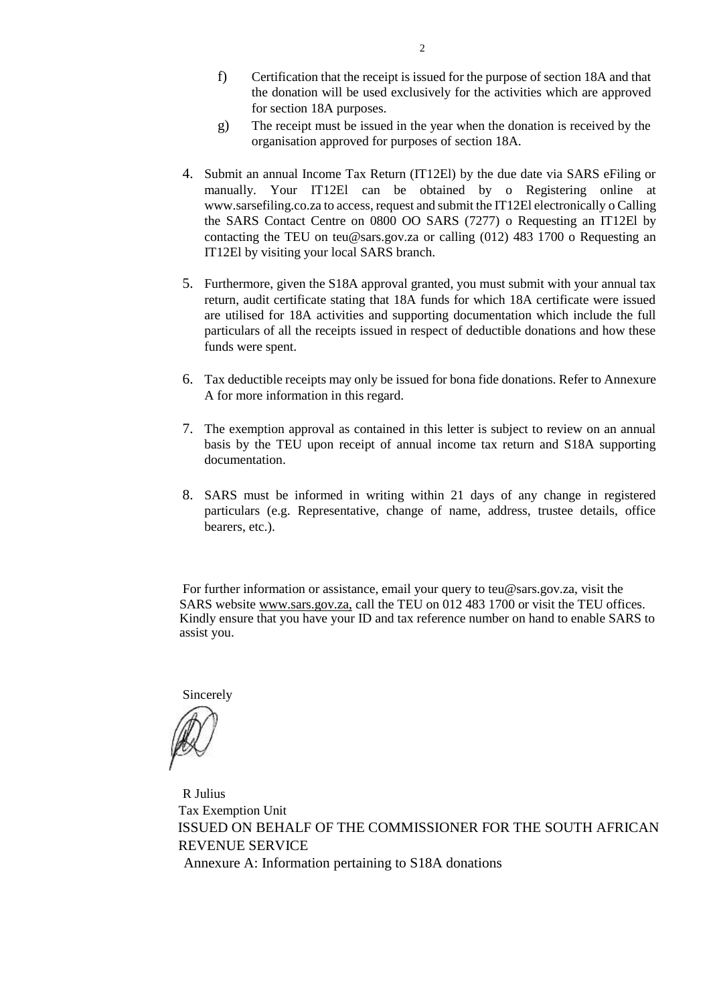- f) Certification that the receipt is issued for the purpose of section 18A and that the donation will be used exclusively for the activities which are approved for section 18A purposes.
- g) The receipt must be issued in the year when the donation is received by the organisation approved for purposes of section 18A.
- 4. Submit an annual Income Tax Return (IT12El) by the due date via SARS eFiling or manually. Your IT12El can be obtained by o Registering online at www.sarsefiling.co.za to access, request and submit the IT12El electronically o Calling the SARS Contact Centre on 0800 OO SARS (7277) o Requesting an IT12El by contacting the TEU on teu@sars.gov.za or calling (012) 483 1700 o Requesting an IT12El by visiting your local SARS branch.
- 5. Furthermore, given the S18A approval granted, you must submit with your annual tax return, audit certificate stating that 18A funds for which 18A certificate were issued are utilised for 18A activities and supporting documentation which include the full particulars of all the receipts issued in respect of deductible donations and how these funds were spent.
- 6. Tax deductible receipts may only be issued for bona fide donations. Refer to Annexure A for more information in this regard.
- 7. The exemption approval as contained in this letter is subject to review on an annual basis by the TEU upon receipt of annual income tax return and S18A supporting documentation.
- 8. SARS must be informed in writing within 21 days of any change in registered particulars (e.g. Representative, change of name, address, trustee details, office bearers, etc.).

For further information or assistance, email your query to teu@sars.gov.za, visit the SARS website www.sars.gov.za, call the TEU on 012 483 1700 or visit the TEU offices. Kindly ensure that you have your ID and tax reference number on hand to enable SARS to assist you.

Sincerely

R Julius Tax Exemption Unit ISSUED ON BEHALF OF THE COMMISSIONER FOR THE SOUTH AFRICAN REVENUE SERVICE Annexure A: Information pertaining to S18A donations